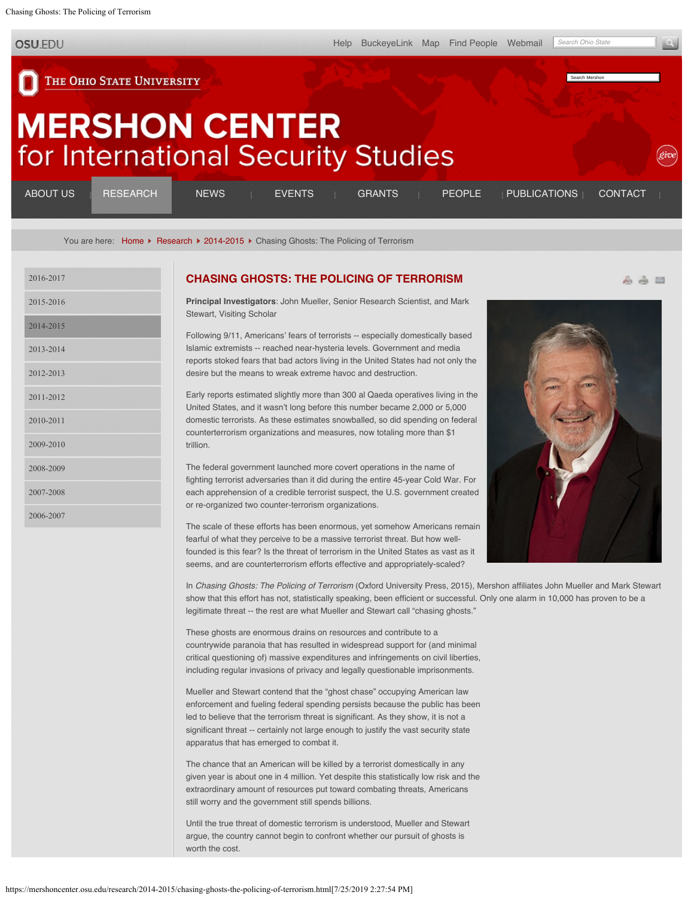<span id="page-0-0"></span>Chasing Ghosts: The Policing of Terrorism

**OSU.EDU** 

[Help](http://www.osu.edu/help.php) [BuckeyeLink](http://buckeyelink.osu.edu/) [Map](http://www.osu.edu/map/) [Find People](http://www.osu.edu/findpeople.php) [Webmail](https://email.osu.edu/)

*Search Ohio State*

Search Mershon

高高四

THE OHIO STATE UNIVERSITY

# **MERSHON CENTER** for International Security Studies

| <b>ABOUT US</b> | <b>RESEARCH</b> | <b>NEWS</b> | <b>EVENTS</b> |  | GRANTS : PEOPLE PUBLICATIONS | CONTACT |
|-----------------|-----------------|-------------|---------------|--|------------------------------|---------|
|                 |                 |             |               |  |                              |         |

You are here: [Home](https://mershoncenter.osu.edu/)  $\blacktriangleright$  [Research](https://mershoncenter.osu.edu/research.html)  $\blacktriangleright$  [2014-2015](https://mershoncenter.osu.edu/research/2014-2015.html)  $\blacktriangleright$  Chasing Ghosts: The Policing of Terrorism

| 2016-2017 |
|-----------|
| 2015-2016 |
| 2014-2015 |
| 2013-2014 |
| 2012-2013 |
| 2011-2012 |
| 2010-2011 |
| 2009-2010 |
| 2008-2009 |
| 2007-2008 |
| 2006-2007 |

### **[CHASING GHOSTS: THE POLICING OF TERRORISM](#page-0-0)**

**Principal Investigators**: John Mueller, Senior Research Scientist, and Mark Stewart, Visiting Scholar

Following 9/11, Americans' fears of terrorists -- especially domestically based Islamic extremists -- reached near-hysteria levels. Government and media reports stoked fears that bad actors living in the United States had not only the desire but the means to wreak extreme havoc and destruction.

Early reports estimated slightly more than 300 al Qaeda operatives living in the United States, and it wasn't long before this number became 2,000 or 5,000 domestic terrorists. As these estimates snowballed, so did spending on federal counterterrorism organizations and measures, now totaling more than \$1 trillion.

The federal government launched more covert operations in the name of fighting terrorist adversaries than it did during the entire 45-year Cold War. For each apprehension of a credible terrorist suspect, the U.S. government created or re-organized two counter-terrorism organizations.

The scale of these efforts has been enormous, yet somehow Americans remain fearful of what they perceive to be a massive terrorist threat. But how wellfounded is this fear? Is the threat of terrorism in the United States as vast as it seems, and are counterterrorism efforts effective and appropriately-scaled?

In *Chasing Ghosts: The Policing of Terrorism* (Oxford University Press, 2015), Mershon affiliates John Mueller and Mark Stewart show that this effort has not, statistically speaking, been efficient or successful. Only one alarm in 10,000 has proven to be a legitimate threat -- the rest are what Mueller and Stewart call "chasing ghosts."

These ghosts are enormous drains on resources and contribute to a countrywide paranoia that has resulted in widespread support for (and minimal critical questioning of) massive expenditures and infringements on civil liberties, including regular invasions of privacy and legally questionable imprisonments.

Mueller and Stewart contend that the "ghost chase" occupying American law enforcement and fueling federal spending persists because the public has been led to believe that the terrorism threat is significant. As they show, it is not a significant threat -- certainly not large enough to justify the vast security state apparatus that has emerged to combat it.

The chance that an American will be killed by a terrorist domestically in any given year is about one in 4 million. Yet despite this statistically low risk and the extraordinary amount of resources put toward combating threats, Americans still worry and the government still spends billions.

Until the true threat of domestic terrorism is understood, Mueller and Stewart argue, the country cannot begin to confront whether our pursuit of ghosts is worth the cost.